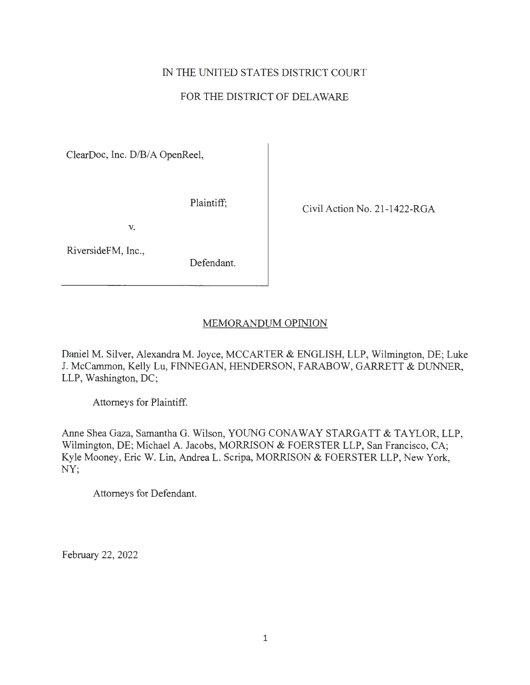# IN THE UNITED STATES DISTRJCT COURT

# FOR THE DISTRJCT OF DELAWARE

ClearDoc, Inc. D/B/A OpenReel,

Plaintiff; Civil Action No. 21-1422-RGA

V.

RiversideFM, Inc.,

Defendant.

# MEMORANDUM OPINION

Daniel M. Silver, Alexandra M. Joyce, MCCARTER & ENGLISH, LLP, Wilmington, DE; Luke J. McCammon, Kelly Lu, FINNEGAN, HENDERSON, FARABOW, GARRETT & DUNNER, LLP, Washington, DC;

Attorneys for Plaintiff.

Anne Shea Gaza, Samantha G. Wilson, YOUNG CONAWAY STARGATT & TAYLOR, LLP, Wilmington, DE; Michael A. Jacobs, MORRISON & FOERSTER LLP, San Francisco, CA; Kyle Mooney, Eric W. Lin, Andrea L. Scripa, MORRISON & FOERSTER LLP, New York, NY;

Attorneys for Defendant.

February 22, 2022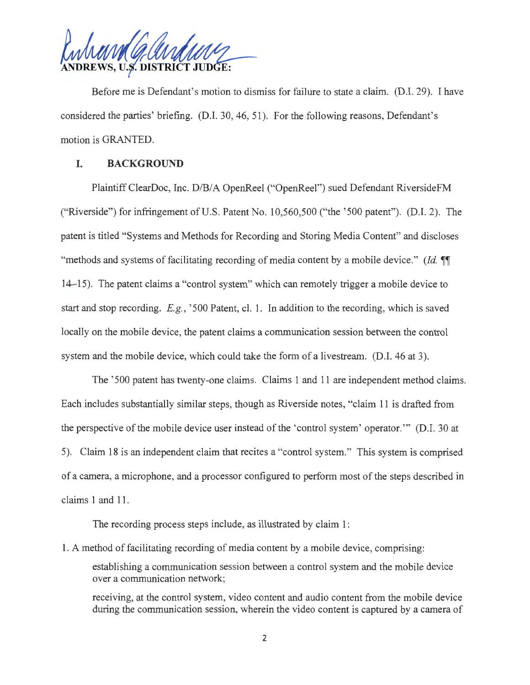**U.S. DISTRICT JUDGE:** 

Before me is Defendant's motion to dismiss for failure to state a claim. (D.I. 29). I have considered the parties' briefing. (D.I. 30, 46, 51). For the following reasons, Defendant's motion is GRANTED.

## **I. BACKGROUND**

Plaintiff ClearDoc, Inc. D/B/A OpenReel ("OpenReel") sued Defendant RiversideFM ("Riverside") for infringement of U.S. Patent No. 10,560,500 ("the ' 500 patent"). (D.I. 2). The patent is titled "Systems and Methods for Recording and Storing Media Content" and discloses "methods and systems of facilitating recording of media content by a mobile device." *(Id.*  $\P\P$ 14-15). The patent claims a "control system" which can remotely trigger a mobile device to start and stop recording. *E.g. ,* '500 Patent, cl. 1. In addition to the recording, which is saved locally on the mobile device, the patent claims a communication session between the control system and the mobile device, which could take the form of a livestream. (D.I. 46 at 3).

The '500 patent has twenty-one claims. Claims 1 and 11 are independent method claims. Each includes substantially similar steps, though as Riverside notes, "claim 11 is drafted from the perspective of the mobile device user instead of the 'control system' operator. "' (D.I. 30 at 5). Claim 18 is an independent claim that recites a "control system." This system is comprised of a camera, a microphone, and a processor configured to perform most of the steps described in claims 1 and 11.

The recording process steps include, as illustrated by claim 1:

1. A method of facilitating recording of media content by a mobile device, comprising:

establishing a communication session between a control system and the mobile device over a communication network;

receiving, at the control system, video content and audio content from the mobile device during the communication session, wherein the video content is captured by a camera of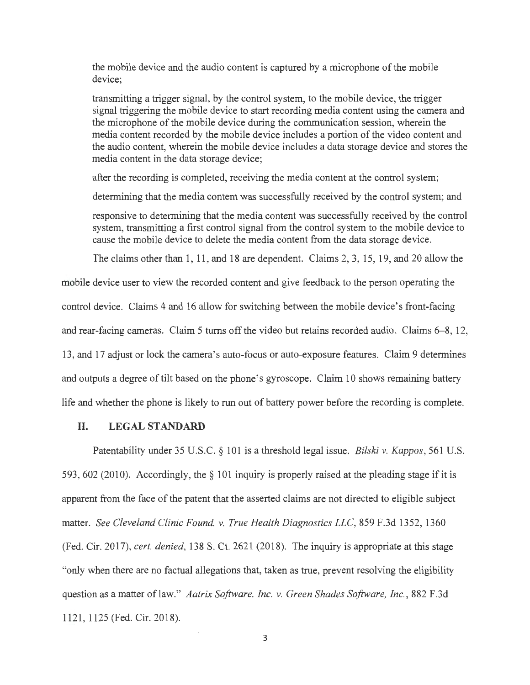the mobile device and the audio content is captured by a microphone of the mobile device;

transmitting a trigger signal, by the control system, to the mobile device, the trigger signal triggering the mobile device to start recording media content using the camera and the microphone of the mobile device during the communication session, wherein the media content recorded by the mobile device includes a portion of the video content and the audio content, wherein the mobile device includes a data storage device and stores the media content in the data storage device;

after the recording is completed, receiving the media content at the control system;

determining that the media content was successfully received by the control system; and

responsive to determining that the media content was successfully received by the control system, transmitting a first control signal from the control system to the mobile device to cause the mobile device to delete the media content from the data storage device.

The claims other than 1, 11 , and 18 are dependent. Claims 2, 3, 15, 19, and 20 allow the

mobile device user to view the recorded content and give feedback to the person operating the control device. Claims 4 and 16 allow for switching between the mobile device's front-facing and rear-facing cameras. Claim 5 turns off the video but retains recorded audio. Claims 6-8, 12, 13, and 17 adjust or lock the camera's auto-focus or auto-exposure features. Claim 9 determines and outputs a degree of tilt based on the phone's gyroscope. Claim 10 shows remaining battery life and whether the phone is likely to run out of battery power before the recording is complete.

#### **II. LEGAL STANDARD**

Patentability under 35 U.S.C. § 101 is a threshold legal issue. *Bilski v. Kappas,* 561 U.S. 593, 602 (2010). Accordingly, the§ 101 inquiry is properly raised at the pleading stage if it is apparent from the face of the patent that the asserted claims are not directed to eligible subject matter. *See Cleveland Clinic Found v. True Health Diagnostics LLC,* 859 F.3d 1352, 1360 (Fed. Cir. 2017), *cert. denied,* 138 S. Ct. 2621 (2018). The inquiry is appropriate at this stage "only when there are no factual allegations that, taken as true, prevent resolving the eligibility question as a matter of law." *Aatrix Software, Inc. v. Green Shades Software, Inc.,* 882 F.3d 1121, 1125 (Fed. Cir. 2018).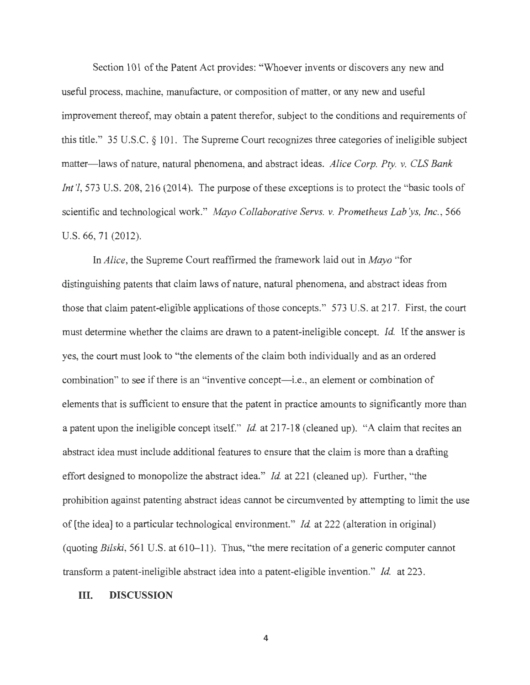Section 101 of the Patent Act provides: "Whoever invents or discovers any new and useful process, machine, manufacture, or composition of matter, or any new and useful improvement thereof, may obtain a patent therefor, subject to the conditions and requirements of this title." 35 U.S.C. § 101. The Supreme Court recognizes three categories of ineligible subject matter-laws of nature, natural phenomena, and abstract ideas. *Alice Corp. Pty. v. CLS Bank Int'l*, 573 U.S. 208, 216 (2014). The purpose of these exceptions is to protect the "basic tools of scientific and technological work." *Mayo Collaborative Servs. v. Prometheus Lab'ys, Inc.*, 566 U.S. 66, 71 (2012).

In *Alice,* the Supreme Court reaffirmed the framework laid out in *Mayo* "for distinguishing patents that claim laws of nature, natural phenomena, and abstract ideas from those that claim patent-eligible applications of those concepts." 573 U.S. at 217. First, the court must determine whether the claims are drawn to a patent-ineligible concept. *Id.* If the answer is yes, the court must look to "the elements of the claim both individually and as an ordered combination" to see if there is an "inventive concept—i.e., an element or combination of elements that is sufficient to ensure that the patent in practice amounts to significantly more than a patent upon the ineligible concept itself." *Id.* at 217-18 ( cleaned up). "A claim that recites an abstract idea must include additional features to ensure that the claim is more than a drafting effort designed to monopolize the abstract idea." *Id.* at 221 (cleaned up). Further, "the prohibition against patenting abstract ideas cannot be circumvented by attempting to limit the use of [the idea] to a particular technological environment." *Id.* at 222 (alteration in original) ( quoting *Bilski,* 561 U.S. at 610-11 ). Thus, "the mere recitation of a generic computer cannot transform a patent-ineligible abstract idea into a patent-eligible invention." *Id.* at 223.

### III. **DISCUSSION**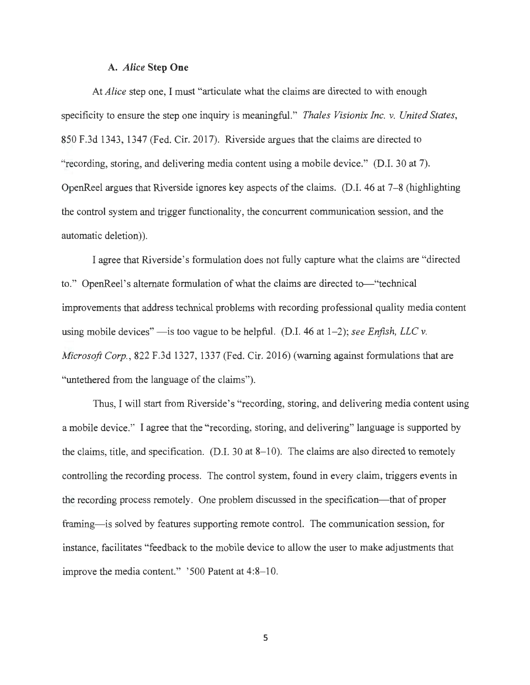#### A. *Alice* **Step One**

At *Alice* step one, I must "articulate what the claims are directed to with enough specificity to ensure the step one inquiry is meaningful." *Thales Visionix Inc. v. United States,*  850 F.3d 1343, 1347 (Fed. Cir. 2017). Riverside argues that the claims are directed to "recording, storing, and delivering media content using a mobile device." (D.I. 30 at 7). OpenReel argues that Riverside ignores key aspects of the claims. (D.I. 46 at 7-8 (highlighting the control system and trigger functionality, the concurrent communication session, and the automatic deletion)).

I agree that Riverside's formulation does not fully capture what the claims are "directed to." OpenReel's alternate formulation of what the claims are directed to—"technical improvements that address technical problems with recording professional quality media content using mobile devices"  $\rightarrow$  is too vague to be helpful. (D.I. 46 at 1–2); *see Enfish, LLC v. Microsoft Corp.,* 822 F.3d 1327, 1337 (Fed. Cir. 2016) (warning against formulations that are "untethered from the language of the claims").

Thus, I will start from Riverside's "recording, storing, and delivering media content using a mobile device." I agree that the "recording, storing, and delivering" language is supported by the claims, title, and specification. (D.I. 30 at 8-10). The claims are also directed to remotely controlling the recording process. The control system, found in every claim, triggers events in the recording process remotely. One problem discussed in the specification—that of proper framing-is solved by features supporting remote control. The communication session, for instance, facilitates "feedback to the mobile device to allow the user to make adjustments that improve the media content." '500 Patent at 4:8-10.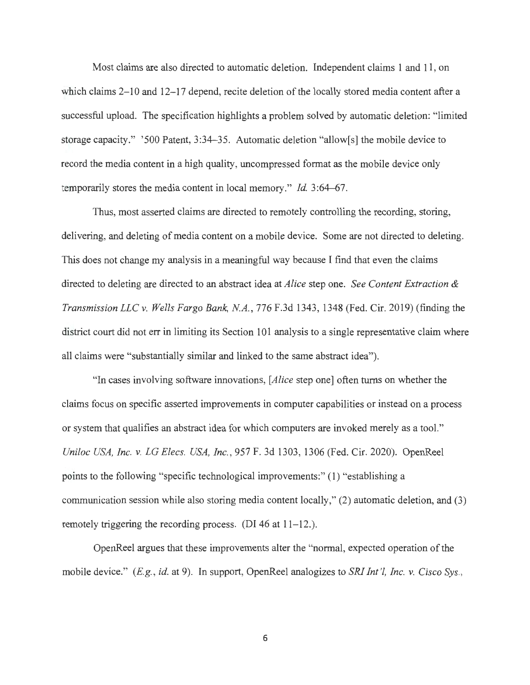Most claims are also directed to automatic deletion. Independent claims 1 and 11 , on which claims  $2-10$  and  $12-17$  depend, recite deletion of the locally stored media content after a successful upload. The specification highlights a problem solved by automatic deletion: "limited storage capacity." '500 Patent, 3:34–35. Automatic deletion "allow[s] the mobile device to record the media content in a high quality, uncompressed format as the mobile device only temporarily stores the media content in local memory." *Id.* 3:64-67.

Thus, most asserted claims are directed to remotely controlling the recording, storing, delivering, and deleting of media content on a mobile device. Some are not directed to deleting. This does not change my analysis in a meaningful way because I find that even the claims directed to deleting are directed to an abstract idea at *Alice* step one. *See Content Extraction & Transmission LLC v. Wells Fargo Bank, NA.,* 776 F.3d 1343, 1348 (Fed. Cir. 2019) (finding the district court did not err in limiting its Section 101 analysis to a single representative claim where all claims were "substantially similar and linked to the same abstract idea").

"In cases involving software innovations, *[Alice* step one] often turns on whether the claims focus on specific asserted improvements in computer capabilities or instead on a process or system that qualifies an abstract idea for which computers are invoked merely as a tool." *Uniloc USA, Inc. v. LG Elecs. USA, Inc.,* 957 F. 3d 1303, 1306 (Fed. Cir. 2020). OpenReel points to the following "specific technological improvements:" (1) "establishing a communication session while also storing media content locally," (2) automatic deletion, and (3) remotely triggering the recording process. (DI 46 at  $11-12$ .).

OpenReel argues that these improvements alter the "normal, expected operation of the mobile device." (*E.g., id.* at 9). In support, OpenReel analogizes to *SRI Int'l, Inc. v. Cisco Sys.*,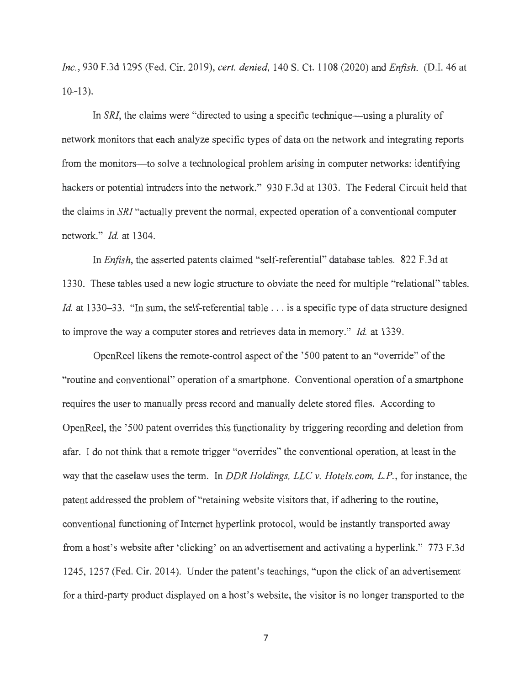*Inc. ,* 930 F.3d 1295 (Fed. Cir. 2019), *cert. denied,* 140 S. Ct. 1108 (2020) and *Enjish.* (D.I. 46 at  $10 - 13$ ).

In *SRI*, the claims were "directed to using a specific technique—using a plurality of network monitors that each analyze specific types of data on the network and integrating reports from the monitors-to solve a technological problem arising in computer networks: identifying hackers or potential intruders into the network." 930 F.3d at 1303. The Federal Circuit held that the claims in *SRI* "actually prevent the normal, expected operation of a conventional computer network." *Id.* at 1304.

In *Enfish,* the asserted patents claimed "self-referential" database tables. 822 F.3d at 1330. These tables used a new logic structure to obviate the need for multiple "relational" tables. *Id.* at 1330–33. "In sum, the self-referential table ... is a specific type of data structure designed to improve the way a computer stores and retrieves data in memory." *Id.* at 1339.

OpenReel likens the remote-control aspect of the '500 patent to an "override" of the "routine and conventional" operation of a smartphone. Conventional operation of a smartphone requires the user to manually press record and manually delete stored files. According to OpenReel, the '500 patent overrides this functionality by triggering recording and deletion from afar. I do not think that a remote trigger "overrides" the conventional operation, at least in the way that the caselaw uses the term. In *DDR Holdings, LLC v. Hotels.com, L.P. ,* for instance, the patent addressed the problem of "retaining website visitors that, if adhering to the routine, conventional functioning of Internet hyperlink protocol, would be instantly transported away from a host's website after 'clicking' on an advertisement and activating a hyperlink." 773 F.3d 1245, 1257 (Fed. Cir. 2014). Under the patent's teachings, "upon the click of an advertisement for a third-party product displayed on a host's website, the visitor is no longer transported to the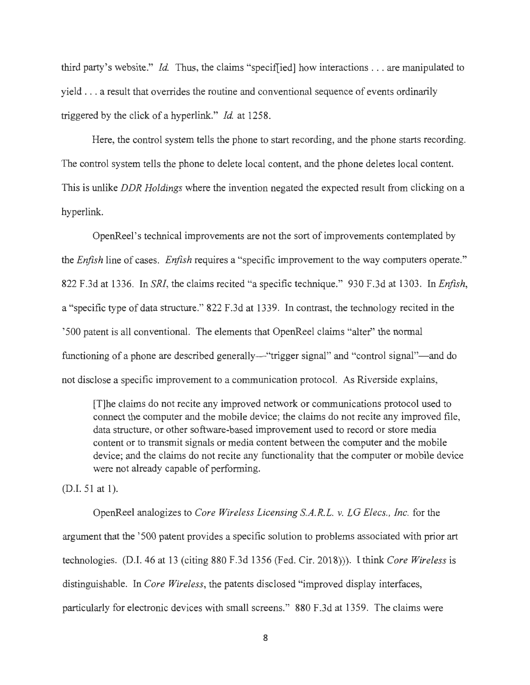third party's website." *Id.* Thus, the claims "speciflied] how interactions ... are manipulated to yield . . . a result that overrides the routine and conventional sequence of events ordinarily triggered by the click of a hyperlink." *Id.* at 1258.

Here, the control system tells the phone to start recording, and the phone starts recording. The control system tells the phone to delete local content, and the phone deletes local content. This is unlike *DDR Holdings* where the invention negated the expected result from clicking on a hyperlink.

OpenReel's technical improvements are not the sort of improvements contemplated by the *Enfish* line of cases. *Enfish* requires a "specific improvement to the way computers operate." 822 F.3d at 1336. In *SRI,* the claims recited "a specific technique." 930 F.3d at 1303. In *Enfish,*  a "specific type of data structure." 822 F.3d at 1339. In contrast, the technology recited in the '500 patent is all conventional. The elements that OpenReel claims "alter" the normal functioning of a phone are described generally—"trigger signal" and "control signal"—and do not disclose a specific improvement to a communication protocol. As Riverside explains,

[T]he claims do not recite any improved network or communications protocol used to connect the computer and the mobile device; the claims do not recite any improved file, data structure, or other software-based improvement used to record or store media content or to transmit signals or media content between the computer and the mobile device; and the claims do not recite any functionality that the computer or mobile device were not already capable of performing.

(D.I. 51 at 1).

OpenReel analogizes to *Core Wireless Licensing S.A.R.L. v. LG Elecs., Inc.* for the argument that the '500 patent provides a specific solution to problems associated with prior art technologies. (D.I. 46 at 13 (citing 880 F.3d 1356 (Fed. Cir. 2018))). I think *Core Wireless* is distinguishable. In *Core Wireless,* the patents disclosed "improved display interfaces, particularly for electronic devices with small screens." 880 F.3d at 1359. The claims were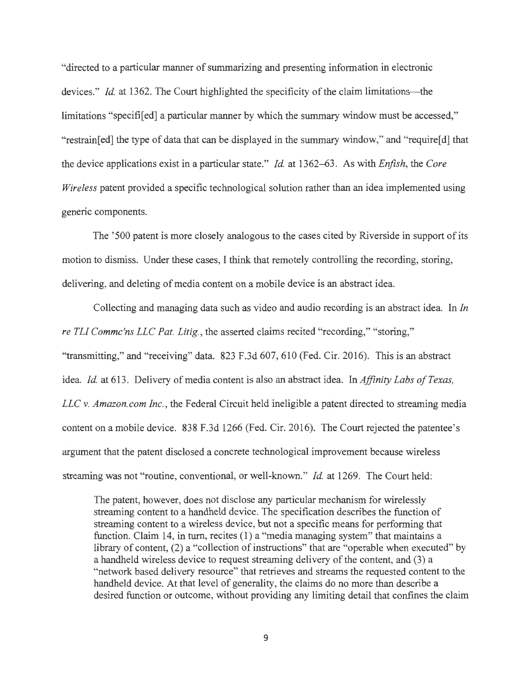"directed to a particular manner of summarizing and presenting information in electronic devices." *Id.* at 1362. The Court highlighted the specificity of the claim limitations—the limitations "specifi<sup>[ed]</sup> a particular manner by which the summary window must be accessed," "restrain[ed] the type of data that can be displayed in the summary window," and "require[d] that the device applications exist in a particular state." *Id.* at 1362-63. As with *Enfish,* the *Core Wireless* patent provided a specific technological solution rather than an idea implemented using generic components.

The '500 patent is more closely analogous to the cases cited by Riverside in support of its motion to dismiss. Under these cases, I think that remotely controlling the recording, storing, delivering, and deleting of media content on a mobile device is an abstract idea.

Collecting and managing data such as video and audio recording is an abstract idea. In *In re TL! Commc'ns LLC Pat. Litig. ,* the asserted claims recited "recording," "storing," "transmitting," and "receiving" data. 823 F.3d 607, 610 (Fed. Cir. 2016). This is an abstract idea. *Id.* at 613. Delivery of media content is also an abstract idea. In *Affinity Labs of Texas, LLC* v. *Amazon.com Inc.,* the Federal Circuit held ineligible a patent directed to streaming media content on a mobile device. 838 F.3d 1266 (Fed. Cir. 2016). The Court rejected the patentee's argument that the patent disclosed a concrete technological improvement because wireless streaming was not "routine, conventional, or well-known." *Id.* at 1269. The Court held:

The patent, however, does not disclose any particular mechanism for wirelessly streaming content to a handheld device. The specification describes the function of streaming content to a wireless device, but not a specific means for performing that function. Claim 14, in turn, recites (1) a "media managing system" that maintains a library of content, (2) a "collection of instructions" that are "operable when executed" by a handheld wireless device to request streaming delivery of the content, and (3) a "network based delivery resource" that retrieves and streams the requested content to the handheld device. At that level of generality, the claims do no more than describe a desired function or outcome, without providing any limiting detail that confines the claim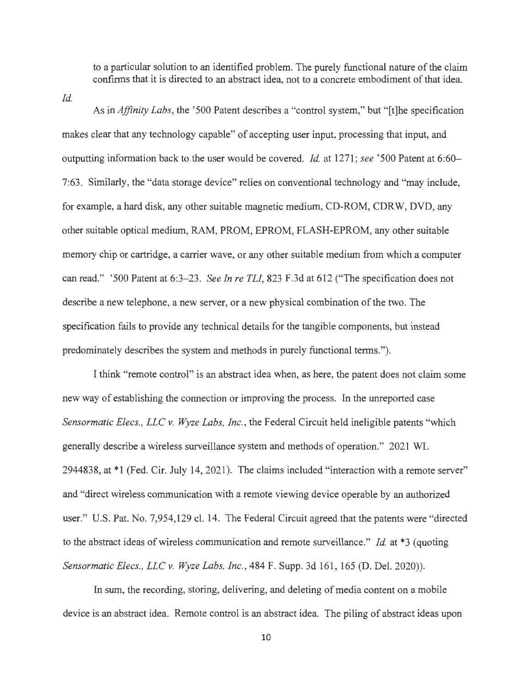to a particular solution to an identified problem. The purely functional nature of the claim confirms that it is directed to an abstract idea, not to a concrete embodiment of that idea.

*Id.* 

As in *Affinity Labs*, the '500 Patent describes a "control system," but "[t]he specification makes clear that any technology capable" of accepting user input, processing that input, and outputting information back to the user would be covered. *Id.* at 1271; see '500 Patent at 6:60-7:63. Similarly, the "data storage device" relies on conventional technology and "may include, for example, a hard disk, any other suitable magnetic medium, CD-ROM, CDRW, DVD, any other suitable optical medium, RAM, PROM, EPROM, FLASH-EPROM, any other suitable memory chip or cartridge, a carrier wave, or any other suitable medium from which a computer can read." '500 Patent at 6:3-23. *See In re TLI*, 823 F.3d at 612 ("The specification does not describe a new telephone, a new server, or a new physical combination of the two. The specification fails to provide any technical details for the tangible components, but instead predominately describes the system and methods in purely functional terms.").

I think "remote control" is an abstract idea when, as here, the patent does not claim some new way of establishing the connection or improving the process. In the unreported case *Sensormatic Elecs., LLC v. Wyze Labs, Inc.,* the Federal Circuit held ineligible patents "which generally describe a wireless surveillance system and methods of operation." 2021 WL 2944838, at \*1 (Fed. Cir. July 14, 2021). The claims included "interaction with a remote server" and "direct wireless communication with a remote viewing device operable by an authorized user." U.S. Pat. No. 7,954,129 cl. 14. The Federal Circuit agreed that the patents were "directed to the abstract ideas of wireless communication and remote surveillance." *Id.* at \*3 (quoting *Sensormatic Elecs. , LLC v. Wyze Labs, Inc.,* 484 F. Supp. 3d 161 , 165 (D. Del. 2020)).

In sum, the recording, storing, delivering, and deleting of media content on a mobile device is an abstract idea. Remote control is an abstract idea. The piling of abstract ideas upon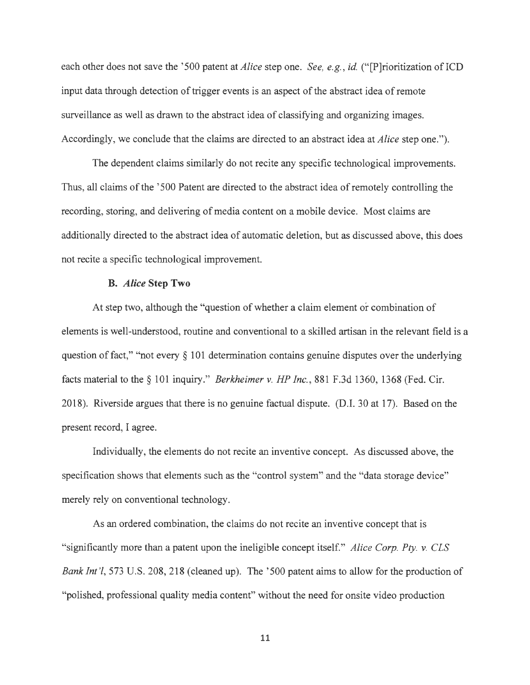each other does not save the ' 500 patent at *Alice* step one. *See, e.g. , id.* (" (P]rioritization of ICD input data through detection of trigger events is an aspect of the abstract idea of remote surveillance as well as drawn to the abstract idea of classifying and organizing images. Accordingly, we conclude that the claims are directed to an abstract idea at *Alice* step one.").

The dependent claims similarly do not recite any specific technological improvements. Thus, all claims of the '500 Patent are directed to the abstract idea of remotely controlling the recording, storing, and delivering of media content on a mobile device. Most claims are additionally directed to the abstract idea of automatic deletion, but as discussed above, this does not recite a specific technological improvement.

#### **B.** *Alice* **Step Two**

At step two, although the "question of whether a claim element or combination of elements is well-understood, routine and conventional to a skilled artisan in the relevant field is a question of fact," "not every § 101 determination contains genuine disputes over the underlying facts material to the§ 101 inquiry." *Berkheimer v. HP Inc.,* 881 F.3d 1360, 1368 (Fed. Cir. 2018). Riverside argues that there is no genuine factual dispute. (D.I. 30 at 17). Based on the present record, I agree.

Individually, the elements do not recite an inventive concept. As discussed above, the specification shows that elements such as the "control system" and the "data storage device" merely rely on conventional technology.

As an ordered combination, the claims do not recite an inventive concept that is "significantly more than a patent upon the ineligible concept itself." *Alice Corp. Pty. v. CLS Bank Int'l*, 573 U.S. 208, 218 (cleaned up). The '500 patent aims to allow for the production of "polished, professional quality media content" without the need for onsite video production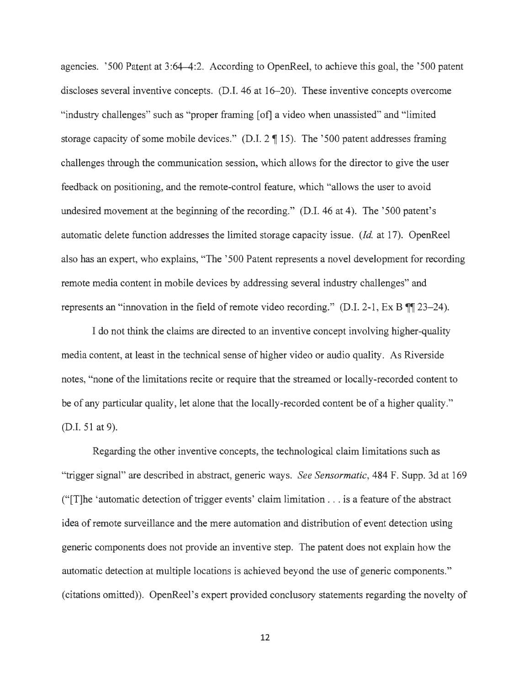agencies. '500 Patent at 3:64-4:2. According to OpenReel, to achieve this goal, the '500 patent discloses several inventive concepts. (D.I. 46 at 16-20). These inventive concepts overcome "industry challenges" such as "proper framing [of] a video when unassisted" and "limited storage capacity of some mobile devices." (D.I.  $2 \text{ } \text{\ensuremath{\mathfrak{N}}}$  15). The '500 patent addresses framing challenges through the communication session, which allows for the director to give the user feedback on positioning, and the remote-control feature, which "allows the user to avoid undesired movement at the beginning of the recording." (D.I. 46 at 4). The '500 patent's automatic delete function addresses the limited storage capacity issue. *(Id. at 17)*. OpenReel also has an expert, who explains, "The '500 Patent represents a novel development for recording remote media content in mobile devices by addressing several industry challenges" and represents an "innovation in the field of remote video recording." (D.I. 2-1, Ex B  $\P$ , 23–24).

I do not think the claims are directed to an inventive concept involving higher-quality media content, at least in the technical sense of higher video or audio quality. As Riverside notes, "none of the limitations recite or require that the streamed or locally-recorded content to be of any particular quality, let alone that the locally-recorded content be of a higher quality." (D.I. 51 at 9).

Regarding the other inventive concepts, the technological claim limitations such as "trigger signal" are described in abstract, generic ways. *See Sensormatic,* 484 F. Supp. 3d at 169 (" $[T]$ he 'automatic detection of trigger events' claim limitation . . . is a feature of the abstract idea of remote surveillance and the mere automation and distribution of event detection using generic components does not provide an inventive step. The patent does not explain how the automatic detection at multiple locations is achieved beyond the use of generic components." (citations omitted)). OpenReel's expert provided conclusory statements regarding the novelty of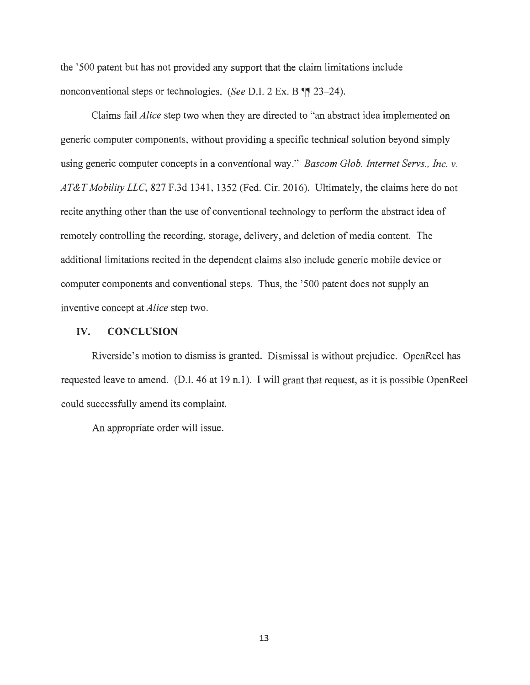the '500 patent but has not provided any support that the claim limitations include nonconventional steps or technologies. *(See D.I. 2 Ex. B*  $\P$ , 23–24).

Claims fail *Alice* step two when they are directed to "an abstract idea implemented on generic computer components, without providing a specific technical solution beyond simply using generic computer concepts in a conventional way." *Bascom Glob. Internet Servs. , Inc. v. AT&T Mobility LLC,* 827 F.3d 1341 , 1352 (Fed. Cir. 2016). Ultimately, the claims here do not recite anything other than the use of conventional technology to perform the abstract idea of remotely controlling the recording, storage, delivery, and deletion of media content. The additional limitations recited in the dependent claims also include generic mobile device or computer components and conventional steps. Thus, the '500 patent does not supply an inventive concept at *Alice* step two.

#### IV. **CONCLUSION**

Riverside 's motion to dismiss is granted. Dismissal is without prejudice. OpenReel has requested leave to amend. (D.I. 46 at 19 n.1 ). I will grant that request, as it is possible OpenReel could successfully amend its complaint.

An appropriate order will issue.